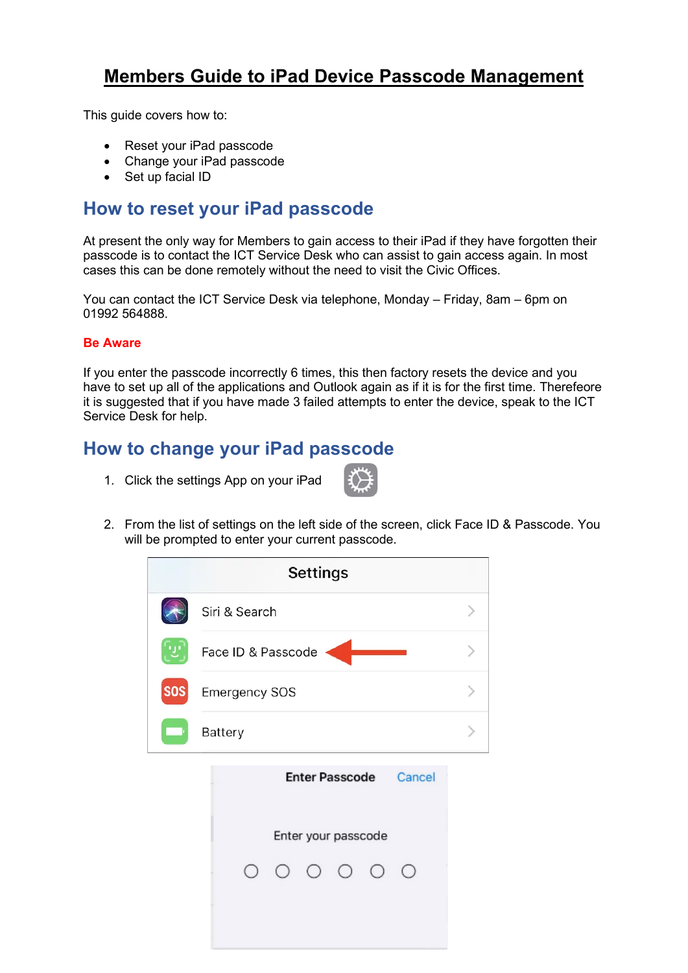# **Members Guide to iPad Device Passcode Management**

This guide covers how to:

- Reset your iPad passcode
- Change your iPad passcode
- Set up facial ID

## **How to reset your iPad passcode**

At present the only way for Members to gain access to their iPad if they have forgotten their passcode is to contact the ICT Service Desk who can assist to gain access again. In most cases this can be done remotely without the need to visit the Civic Offices.

You can contact the ICT Service Desk via telephone, Monday – Friday, 8am – 6pm on 01992 564888.

#### **Be Aware**

If you enter the passcode incorrectly 6 times, this then factory resets the device and you have to set up all of the applications and Outlook again as if it is for the first time. Therefeore it is suggested that if you have made 3 failed attempts to enter the device, speak to the ICT Service Desk for help.

### **How to change your iPad passcode**

1. Click the settings App on your iPad



2. From the list of settings on the left side of the screen, click Face ID & Passcode. You will be prompted to enter your current passcode.

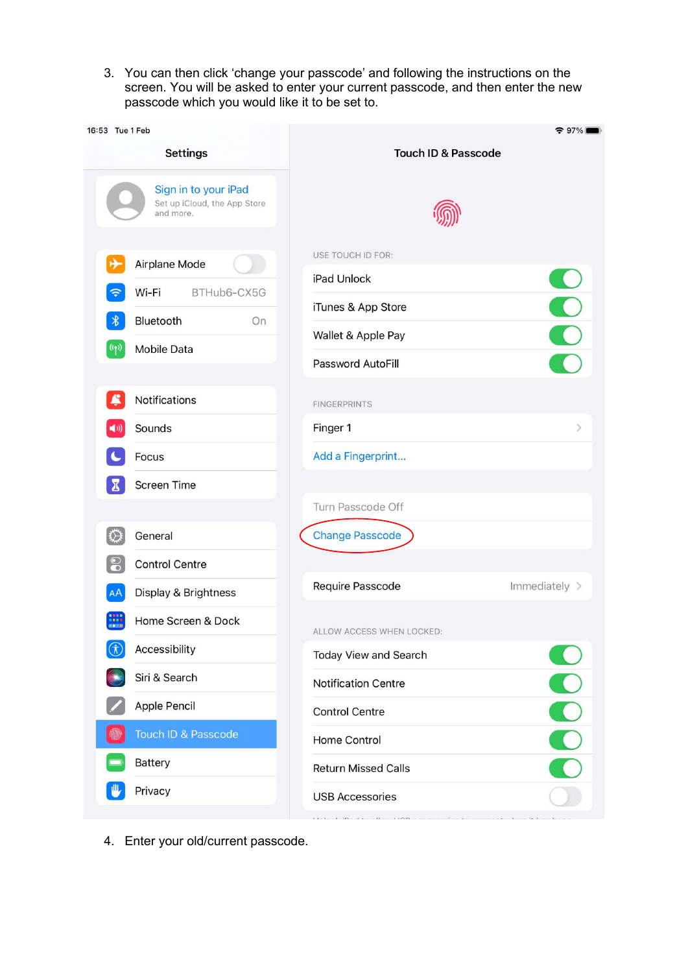3. You can then click 'change your passcode' and following the instructions on the screen. You will be asked to enter your current passcode, and then enter the new passcode which you would like it to be set to.

| 16:53 Tue 1 Feb<br><b>Settings</b>                                | $\approx 97\%$<br><b>Touch ID &amp; Passcode</b> |  |
|-------------------------------------------------------------------|--------------------------------------------------|--|
| Sign in to your iPad<br>Set up iCloud, the App Store<br>and more. |                                                  |  |
| Airplane Mode                                                     | USE TOUCH ID FOR:                                |  |
| Wi-Fi<br>BTHub6-CX5G                                              | 80<br>iPad Unlock                                |  |
| Bluetooth<br>On                                                   | iTunes & App Store                               |  |
| (4)<br>Mobile Data                                                | Wallet & Apple Pay                               |  |
|                                                                   | Password AutoFill                                |  |
| Notifications                                                     | <b>FINGERPRINTS</b>                              |  |
| Sounds                                                            | Finger 1<br>>                                    |  |
| Focus                                                             | Add a Fingerprint                                |  |
| <b>Screen Time</b><br>X                                           |                                                  |  |
|                                                                   | Turn Passcode Off                                |  |
| General<br>$\bigcirc$                                             | <b>Change Passcode</b>                           |  |
| $\bullet$<br><b>Control Centre</b>                                |                                                  |  |
| Display & Brightness<br>AA                                        | Require Passcode<br>Immediately >                |  |
| Home Screen & Dock                                                | ALLOW ACCESS WHEN LOCKED:                        |  |
| $(\hat{\pi})$<br>Accessibility                                    | Today View and Search                            |  |
| Siri & Search                                                     | $\blacksquare$<br><b>Notification Centre</b>     |  |
| Apple Pencil                                                      | $\blacksquare$<br><b>Control Centre</b>          |  |
| Touch ID & Passcode<br>偷                                          | $\mathbf C$<br>Home Control                      |  |
| <b>Battery</b>                                                    | <b>Return Missed Calls</b>                       |  |
| Privacy                                                           | <b>USB Accessories</b>                           |  |
|                                                                   | United at the discussion of the                  |  |

4. Enter your old/current passcode.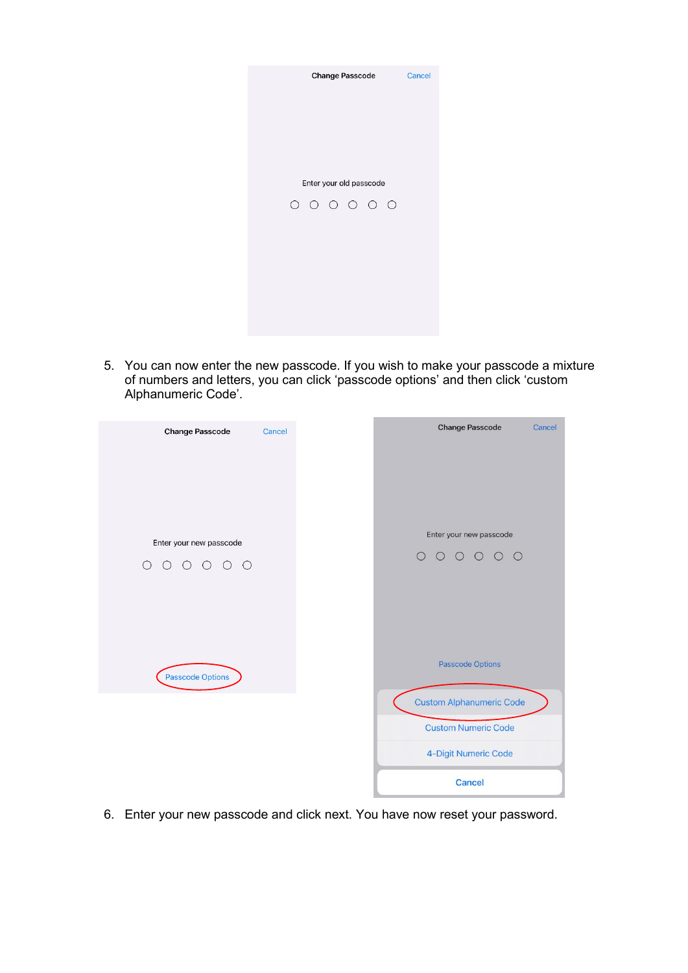

5. You can now enter the new passcode. If you wish to make your passcode a mixture of numbers and letters, you can click 'passcode options' and then click 'custom Alphanumeric Code'.

| <b>Change Passcode</b>  | <b>Cancel</b> | <b>Change Passcode</b>          | Cancel |
|-------------------------|---------------|---------------------------------|--------|
|                         |               |                                 |        |
|                         |               |                                 |        |
|                         |               |                                 |        |
|                         |               |                                 |        |
| Enter your new passcode |               | Enter your new passcode         |        |
| 000000                  |               | $0 0 0 0 0 0$                   |        |
|                         |               |                                 |        |
|                         |               |                                 |        |
|                         |               |                                 |        |
|                         |               | <b>Passcode Options</b>         |        |
| Passcode Options        |               |                                 |        |
|                         |               | <b>Custom Alphanumeric Code</b> |        |
|                         |               | <b>Custom Numeric Code</b>      |        |
|                         |               | 4-Digit Numeric Code            |        |
|                         |               | Cancel                          |        |

6. Enter your new passcode and click next. You have now reset your password.